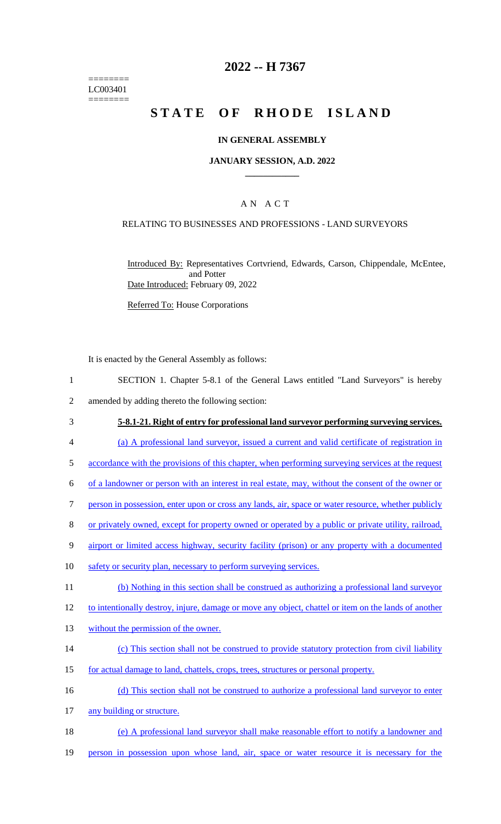======== LC003401 ========

# **2022 -- H 7367**

# **STATE OF RHODE ISLAND**

### **IN GENERAL ASSEMBLY**

### **JANUARY SESSION, A.D. 2022 \_\_\_\_\_\_\_\_\_\_\_\_**

# A N A C T

### RELATING TO BUSINESSES AND PROFESSIONS - LAND SURVEYORS

Introduced By: Representatives Cortvriend, Edwards, Carson, Chippendale, McEntee, and Potter Date Introduced: February 09, 2022

Referred To: House Corporations

It is enacted by the General Assembly as follows:

- 1 SECTION 1. Chapter 5-8.1 of the General Laws entitled "Land Surveyors" is hereby 2 amended by adding thereto the following section:
- 3 **5-8.1-21. Right of entry for professional land surveyor performing surveying services.**
- 4 (a) A professional land surveyor, issued a current and valid certificate of registration in
- 5 accordance with the provisions of this chapter, when performing surveying services at the request
- 6 of a landowner or person with an interest in real estate, may, without the consent of the owner or
- 7 person in possession, enter upon or cross any lands, air, space or water resource, whether publicly
- 8 or privately owned, except for property owned or operated by a public or private utility, railroad,
- 9 airport or limited access highway, security facility (prison) or any property with a documented
- 10 safety or security plan, necessary to perform surveying services.
- 11 (b) Nothing in this section shall be construed as authorizing a professional land surveyor
- 12 to intentionally destroy, injure, damage or move any object, chattel or item on the lands of another
- 13 without the permission of the owner.
- 14 (c) This section shall not be construed to provide statutory protection from civil liability
- 15 for actual damage to land, chattels, crops, trees, structures or personal property.
- 16 (d) This section shall not be construed to authorize a professional land surveyor to enter
- 17 any building or structure.
- 18 (e) A professional land surveyor shall make reasonable effort to notify a landowner and
- 19 person in possession upon whose land, air, space or water resource it is necessary for the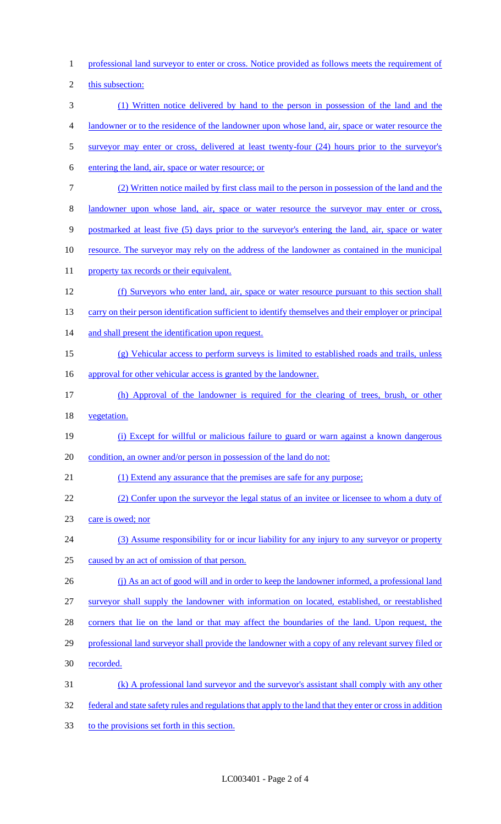- professional land surveyor to enter or cross. Notice provided as follows meets the requirement of this subsection: (1) Written notice delivered by hand to the person in possession of the land and the landowner or to the residence of the landowner upon whose land, air, space or water resource the surveyor may enter or cross, delivered at least twenty-four (24) hours prior to the surveyor's entering the land, air, space or water resource; or (2) Written notice mailed by first class mail to the person in possession of the land and the landowner upon whose land, air, space or water resource the surveyor may enter or cross, postmarked at least five (5) days prior to the surveyor's entering the land, air, space or water 10 resource. The surveyor may rely on the address of the landowner as contained in the municipal 11 property tax records or their equivalent. (f) Surveyors who enter land, air, space or water resource pursuant to this section shall 13 carry on their person identification sufficient to identify themselves and their employer or principal 14 and shall present the identification upon request. (g) Vehicular access to perform surveys is limited to established roads and trails, unless 16 approval for other vehicular access is granted by the landowner. (h) Approval of the landowner is required for the clearing of trees, brush, or other vegetation. (i) Except for willful or malicious failure to guard or warn against a known dangerous condition, an owner and/or person in possession of the land do not: (1) Extend any assurance that the premises are safe for any purpose; (2) Confer upon the surveyor the legal status of an invitee or licensee to whom a duty of care is owed; nor (3) Assume responsibility for or incur liability for any injury to any surveyor or property caused by an act of omission of that person. 26 (j) As an act of good will and in order to keep the landowner informed, a professional land surveyor shall supply the landowner with information on located, established, or reestablished corners that lie on the land or that may affect the boundaries of the land. Upon request, the professional land surveyor shall provide the landowner with a copy of any relevant survey filed or recorded. (k) A professional land surveyor and the surveyor's assistant shall comply with any other federal and state safety rules and regulations that apply to the land that they enter or cross in addition
- to the provisions set forth in this section.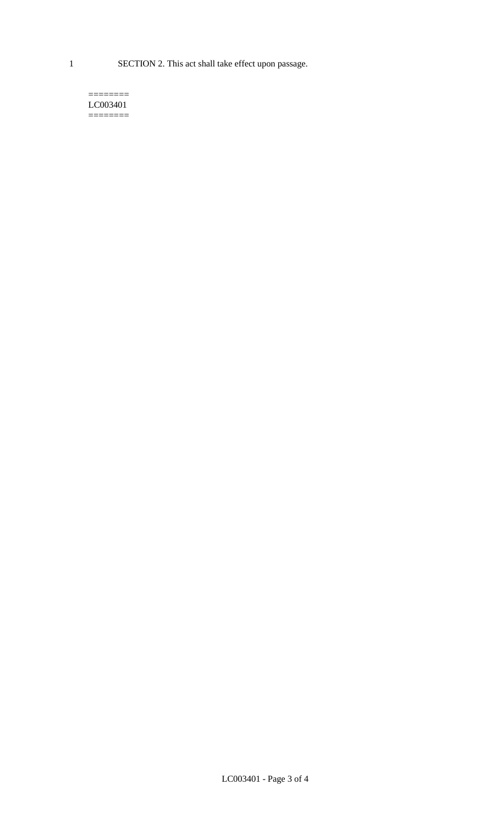1 SECTION 2. This act shall take effect upon passage.

#### $=$ LC003401  $=$